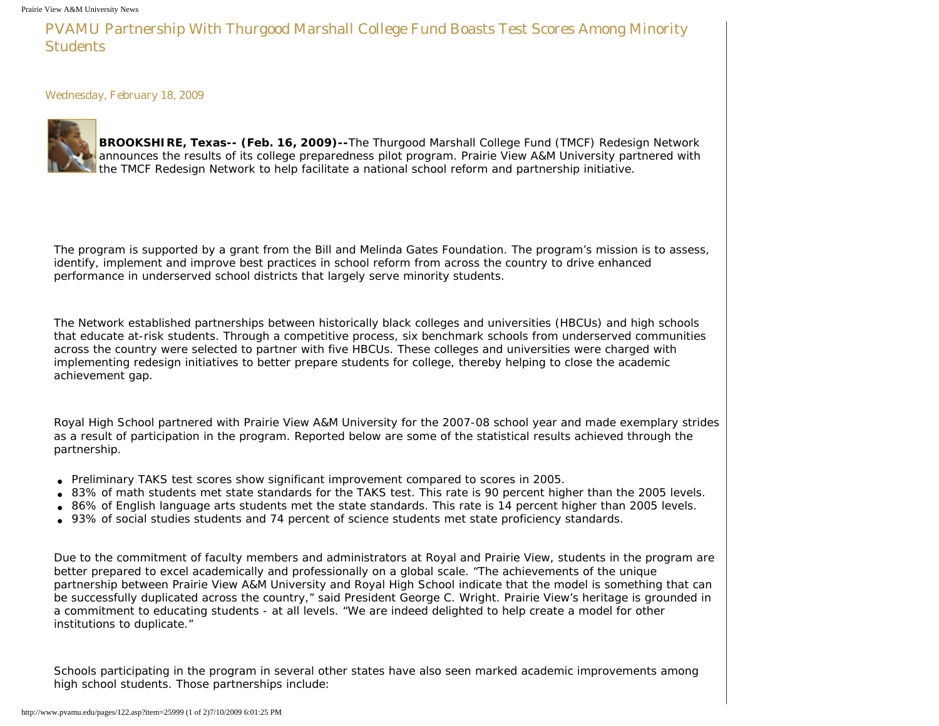PVAMU Partnership With Thurgood Marshall College Fund Boasts Test Scores Among Minority **Students** 

Wednesday, February 18, 2009



**BROOKSHIRE, Texas-- (Feb. 16, 2009)--**The Thurgood Marshall College Fund (TMCF) Redesign Network announces the results of its college preparedness pilot program. Prairie View A&M University partnered with the TMCF Redesign Network to help facilitate a national school reform and partnership initiative.

The program is supported by a grant from the Bill and Melinda Gates Foundation. The program's mission is to assess, identify, implement and improve best practices in school reform from across the country to drive enhanced performance in underserved school districts that largely serve minority students.

The Network established partnerships between historically black colleges and universities (HBCUs) and high schools that educate at-risk students. Through a competitive process, six benchmark schools from underserved communities across the country were selected to partner with five HBCUs. These colleges and universities were charged with implementing redesign initiatives to better prepare students for college, thereby helping to close the academic achievement gap.

Royal High School partnered with Prairie View A&M University for the 2007-08 school year and made exemplary strides as a result of participation in the program. Reported below are some of the statistical results achieved through the partnership.

- Preliminary TAKS test scores show significant improvement compared to scores in 2005.
- 83% of math students met state standards for the TAKS test. This rate is 90 percent higher than the 2005 levels.
- 86% of English language arts students met the state standards. This rate is 14 percent higher than 2005 levels.
- 93% of social studies students and 74 percent of science students met state proficiency standards.

Due to the commitment of faculty members and administrators at Royal and Prairie View, students in the program are better prepared to excel academically and professionally on a global scale. "The achievements of the unique partnership between Prairie View A&M University and Royal High School indicate that the model is something that can be successfully duplicated across the country," said President George C. Wright. Prairie View's heritage is grounded in a commitment to educating students - at all levels. "We are indeed delighted to help create a model for other institutions to duplicate."

Schools participating in the program in several other states have also seen marked academic improvements among high school students. Those partnerships include: